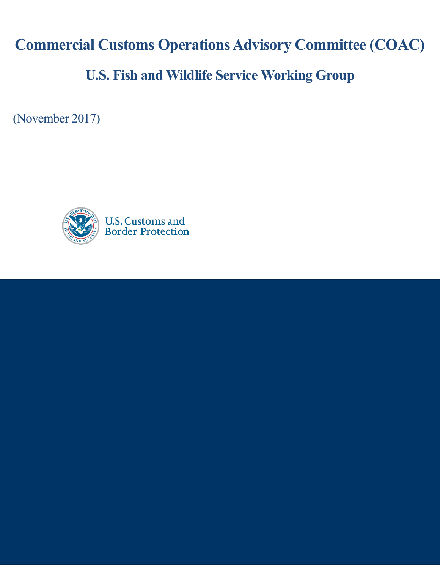**Commercial Customs Operations Advisory Committee (COAC)**

# **U.S. Fish and Wildlife Service Working Group**

(November 2017)

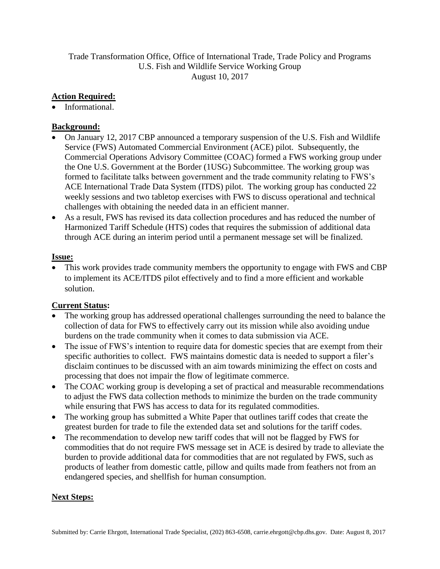Trade Transformation Office, Office of International Trade, Trade Policy and Programs U.S. Fish and Wildlife Service Working Group August 10, 2017

## **Action Required:**

• Informational.

### **Background:**

- On January 12, 2017 CBP announced a temporary suspension of the U.S. Fish and Wildlife Service (FWS) Automated Commercial Environment (ACE) pilot. Subsequently, the Commercial Operations Advisory Committee (COAC) formed a FWS working group under the One U.S. Government at the Border (1USG) Subcommittee. The working group was formed to facilitate talks between government and the trade community relating to FWS's ACE International Trade Data System (ITDS) pilot. The working group has conducted 22 weekly sessions and two tabletop exercises with FWS to discuss operational and technical challenges with obtaining the needed data in an efficient manner.
- As a result, FWS has revised its data collection procedures and has reduced the number of Harmonized Tariff Schedule (HTS) codes that requires the submission of additional data through ACE during an interim period until a permanent message set will be finalized.

#### **Issue:**

 This work provides trade community members the opportunity to engage with FWS and CBP to implement its ACE/ITDS pilot effectively and to find a more efficient and workable solution.

# **Current Status:**

- The working group has addressed operational challenges surrounding the need to balance the collection of data for FWS to effectively carry out its mission while also avoiding undue burdens on the trade community when it comes to data submission via ACE.
- The issue of FWS's intention to require data for domestic species that are exempt from their specific authorities to collect. FWS maintains domestic data is needed to support a filer's disclaim continues to be discussed with an aim towards minimizing the effect on costs and processing that does not impair the flow of legitimate commerce.
- The COAC working group is developing a set of practical and measurable recommendations to adjust the FWS data collection methods to minimize the burden on the trade community while ensuring that FWS has access to data for its regulated commodities.
- The working group has submitted a White Paper that outlines tariff codes that create the greatest burden for trade to file the extended data set and solutions for the tariff codes.
- The recommendation to develop new tariff codes that will not be flagged by FWS for commodities that do not require FWS message set in ACE is desired by trade to alleviate the burden to provide additional data for commodities that are not regulated by FWS, such as products of leather from domestic cattle, pillow and quilts made from feathers not from an endangered species, and shellfish for human consumption.

# **Next Steps:**